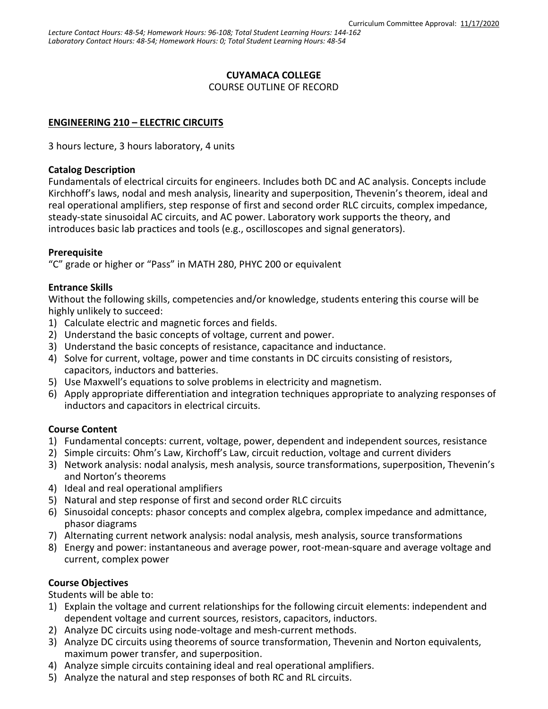# **CUYAMACA COLLEGE**

COURSE OUTLINE OF RECORD

# **ENGINEERING 210 – ELECTRIC CIRCUITS**

3 hours lecture, 3 hours laboratory, 4 units

#### **Catalog Description**

Fundamentals of electrical circuits for engineers. Includes both DC and AC analysis. Concepts include Kirchhoff's laws, nodal and mesh analysis, linearity and superposition, Thevenin's theorem, ideal and real operational amplifiers, step response of first and second order RLC circuits, complex impedance, steady-state sinusoidal AC circuits, and AC power. Laboratory work supports the theory, and introduces basic lab practices and tools (e.g., oscilloscopes and signal generators).

#### **Prerequisite**

"C" grade or higher or "Pass" in MATH 280, PHYC 200 or equivalent

## **Entrance Skills**

Without the following skills, competencies and/or knowledge, students entering this course will be highly unlikely to succeed:

- 1) Calculate electric and magnetic forces and fields.
- 2) Understand the basic concepts of voltage, current and power.
- 3) Understand the basic concepts of resistance, capacitance and inductance.
- 4) Solve for current, voltage, power and time constants in DC circuits consisting of resistors, capacitors, inductors and batteries.
- 5) Use Maxwell's equations to solve problems in electricity and magnetism.
- 6) Apply appropriate differentiation and integration techniques appropriate to analyzing responses of inductors and capacitors in electrical circuits.

## **Course Content**

- 1) Fundamental concepts: current, voltage, power, dependent and independent sources, resistance
- 2) Simple circuits: Ohm's Law, Kirchoff's Law, circuit reduction, voltage and current dividers
- 3) Network analysis: nodal analysis, mesh analysis, source transformations, superposition, Thevenin's and Norton's theorems
- 4) Ideal and real operational amplifiers
- 5) Natural and step response of first and second order RLC circuits
- 6) Sinusoidal concepts: phasor concepts and complex algebra, complex impedance and admittance, phasor diagrams
- 7) Alternating current network analysis: nodal analysis, mesh analysis, source transformations
- 8) Energy and power: instantaneous and average power, root-mean-square and average voltage and current, complex power

## **Course Objectives**

Students will be able to:

- 1) Explain the voltage and current relationships for the following circuit elements: independent and dependent voltage and current sources, resistors, capacitors, inductors.
- 2) Analyze DC circuits using node-voltage and mesh-current methods.
- 3) Analyze DC circuits using theorems of source transformation, Thevenin and Norton equivalents, maximum power transfer, and superposition.
- 4) Analyze simple circuits containing ideal and real operational amplifiers.
- 5) Analyze the natural and step responses of both RC and RL circuits.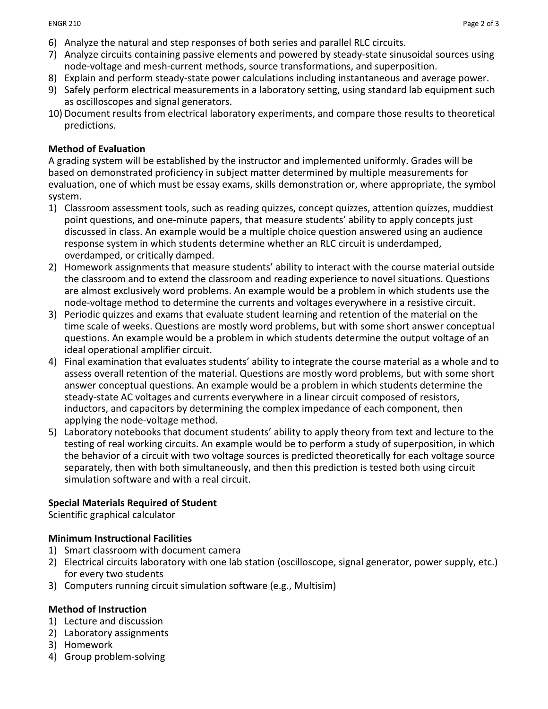- 6) Analyze the natural and step responses of both series and parallel RLC circuits.
- 7) Analyze circuits containing passive elements and powered by steady-state sinusoidal sources using node-voltage and mesh-current methods, source transformations, and superposition.
- 8) Explain and perform steady-state power calculations including instantaneous and average power.
- 9) Safely perform electrical measurements in a laboratory setting, using standard lab equipment such as oscilloscopes and signal generators.
- 10) Document results from electrical laboratory experiments, and compare those results to theoretical predictions.

#### **Method of Evaluation**

A grading system will be established by the instructor and implemented uniformly. Grades will be based on demonstrated proficiency in subject matter determined by multiple measurements for evaluation, one of which must be essay exams, skills demonstration or, where appropriate, the symbol system.

- 1) Classroom assessment tools, such as reading quizzes, concept quizzes, attention quizzes, muddiest point questions, and one-minute papers, that measure students' ability to apply concepts just discussed in class. An example would be a multiple choice question answered using an audience response system in which students determine whether an RLC circuit is underdamped, overdamped, or critically damped.
- 2) Homework assignments that measure students' ability to interact with the course material outside the classroom and to extend the classroom and reading experience to novel situations. Questions are almost exclusively word problems. An example would be a problem in which students use the node-voltage method to determine the currents and voltages everywhere in a resistive circuit.
- 3) Periodic quizzes and exams that evaluate student learning and retention of the material on the time scale of weeks. Questions are mostly word problems, but with some short answer conceptual questions. An example would be a problem in which students determine the output voltage of an ideal operational amplifier circuit.
- 4) Final examination that evaluates students' ability to integrate the course material as a whole and to assess overall retention of the material. Questions are mostly word problems, but with some short answer conceptual questions. An example would be a problem in which students determine the steady-state AC voltages and currents everywhere in a linear circuit composed of resistors, inductors, and capacitors by determining the complex impedance of each component, then applying the node-voltage method.
- 5) Laboratory notebooks that document students' ability to apply theory from text and lecture to the testing of real working circuits. An example would be to perform a study of superposition, in which the behavior of a circuit with two voltage sources is predicted theoretically for each voltage source separately, then with both simultaneously, and then this prediction is tested both using circuit simulation software and with a real circuit.

## **Special Materials Required of Student**

Scientific graphical calculator

## **Minimum Instructional Facilities**

- 1) Smart classroom with document camera
- 2) Electrical circuits laboratory with one lab station (oscilloscope, signal generator, power supply, etc.) for every two students
- 3) Computers running circuit simulation software (e.g., Multisim)

#### **Method of Instruction**

- 1) Lecture and discussion
- 2) Laboratory assignments
- 3) Homework
- 4) Group problem-solving